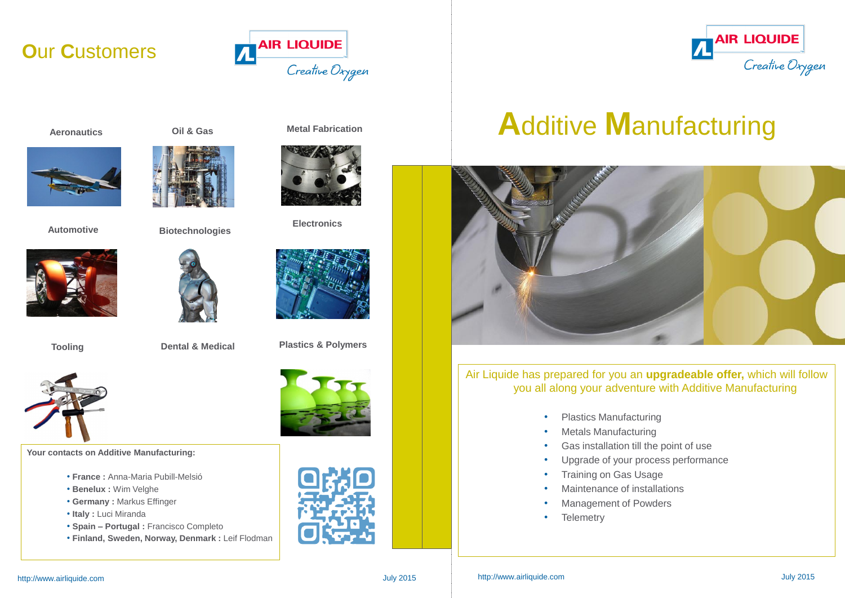# **A**dditive **M**anufacturing



### Air Liquide has prepared for you an **upgradeable offer,** which will follow you all along your adventure with Additive Manufacturing

- Plastics Manufacturing
- Metals Manufacturing
- Gas installation till the point of use
- Upgrade of your process performance
- Training on Gas Usage
- Maintenance of installations
- Management of Powders
- Telemetry



- 
- 
- 
- 
- 

## **O**ur **C**ustomers



**Aeronautics**



**Automotive**



**Tooling**

**Oil & Gas Metal Fabrication**





**Biotechnologies**



**Dental & Medical**



**Electronics**

**Your contacts on Additive Manufacturing:**

- **France :** Anna-Maria Pubill-Melsió
- **Benelux :** Wim Velghe
- **Germany :** Markus Effinger
- **Italy :** Luci Miranda
- **Spain – Portugal :** Francisco Completo
- **Finland, Sweden, Norway, Denmark :** Leif Flodman







**Plastics & Polymers**